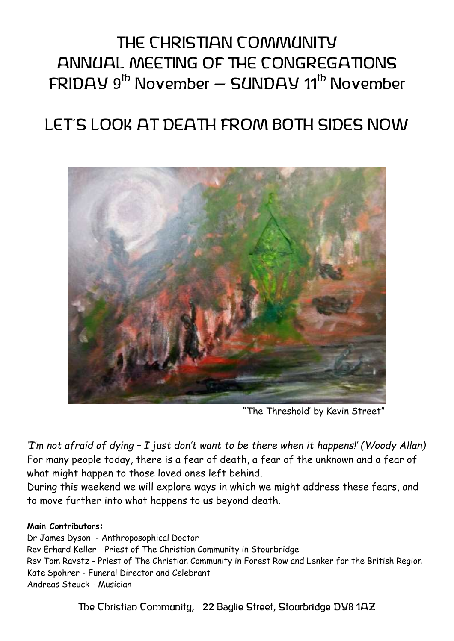# THE CHRISTIAN COMMUNITY ANNUAL MEETING OF THE CONGREGATIONS  $FRIDAY$  9<sup>th</sup> November – SUNDAY 11<sup>th</sup> November

## LET'S LOOK AT DEATH FROM BOTH SIDES NOW



"The Threshold' by Kevin Street"

*'I'm not afraid of dying – I just don't want to be there when it happens!' (Woody Allan)* For many people today, there is a fear of death, a fear of the unknown and a fear of what might happen to those loved ones left behind.

During this weekend we will explore ways in which we might address these fears, and to move further into what happens to us beyond death.

#### **Main Contributors:**

Dr James Dyson - Anthroposophical Doctor Rev Erhard Keller - Priest of The Christian Community in Stourbridge Rev Tom Ravetz - Priest of The Christian Community in Forest Row and Lenker for the British Region Kate Spohrer - Funeral Director and Celebrant Andreas Steuck - Musician

The Christian Community, 22 Baylie Street, Stourbridge DY8 1AZ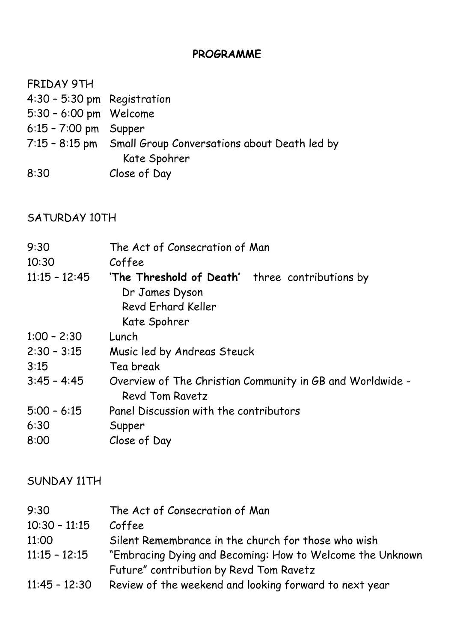### **PROGRAMME**

| FRIDAY 9TH                  |                                                             |
|-----------------------------|-------------------------------------------------------------|
| 4:30 - 5:30 pm Registration |                                                             |
| 5:30 - 6:00 pm Welcome      |                                                             |
| $6:15 - 7:00$ pm Supper     |                                                             |
|                             | 7:15 - 8:15 pm Small Group Conversations about Death led by |
|                             | Kate Spohrer                                                |
| 8:30                        | Close of Day                                                |

### SATURDAY 10TH

| 9:30<br>10:30   | The Act of Consecration of Man<br>Coffee                                     |
|-----------------|------------------------------------------------------------------------------|
| $11:15 - 12:45$ | 'The Threshold of Death' three contributions by<br>Dr James Dyson            |
|                 | Revd Erhard Keller                                                           |
|                 | Kate Spohrer                                                                 |
| $1:00 - 2:30$   | Lunch                                                                        |
| $2:30 - 3:15$   | Music led by Andreas Steuck                                                  |
| 3:15            | Tea break                                                                    |
| $3:45 - 4:45$   | Overview of The Christian Community in GB and Worldwide -<br>Revd Tom Ravetz |
| $5:00 - 6:15$   | Panel Discussion with the contributors                                       |
| 6:30            | Supper                                                                       |
| 8:00            | Close of Day                                                                 |
|                 |                                                                              |

#### SUNDAY 11TH

| 9:30            | The Act of Consecration of Man                            |
|-----------------|-----------------------------------------------------------|
| $10:30 - 11:15$ | Coffee                                                    |
| 11:00           | Silent Remembrance in the church for those who wish       |
| $11:15 - 12:15$ | "Embracing Dying and Becoming: How to Welcome the Unknown |
|                 | Future" contribution by Revd Tom Ravetz                   |
| $11:45 - 12:30$ | Review of the weekend and looking forward to next year    |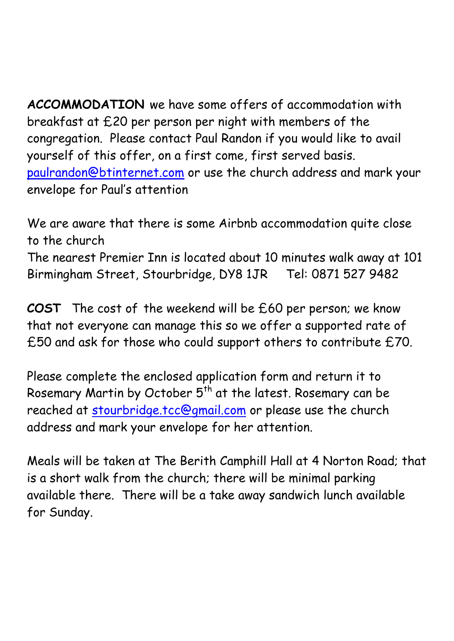**ACCOMMODATION** we have some offers of accommodation with breakfast at £20 per person per night with members of the congregation. Please contact Paul Randon if you would like to avail yourself of this offer, on a first come, first served basis. [paulrandon@btinternet.com](mailto:paulrandon@btinternet.com) or use the church address and mark your envelope for Paul's attention

We are aware that there is some Airbnb accommodation quite close to the church The nearest Premier Inn is located about 10 minutes walk away at 101 Birmingham Street, Stourbridge, DY8 1JR Tel: 0871 527 9482

**COST** The cost of the weekend will be £60 per person; we know that not everyone can manage this so we offer a supported rate of £50 and ask for those who could support others to contribute £70.

Please complete the enclosed application form and return it to Rosemary Martin by October  $5<sup>th</sup>$  at the latest. Rosemary can be reached at [stourbridge.tcc@gmail.com](mailto:stourbridge.tcc@gmail.com) or please use the church address and mark your envelope for her attention.

Meals will be taken at The Berith Camphill Hall at 4 Norton Road; that is a short walk from the church; there will be minimal parking available there. There will be a take away sandwich lunch available for Sunday.